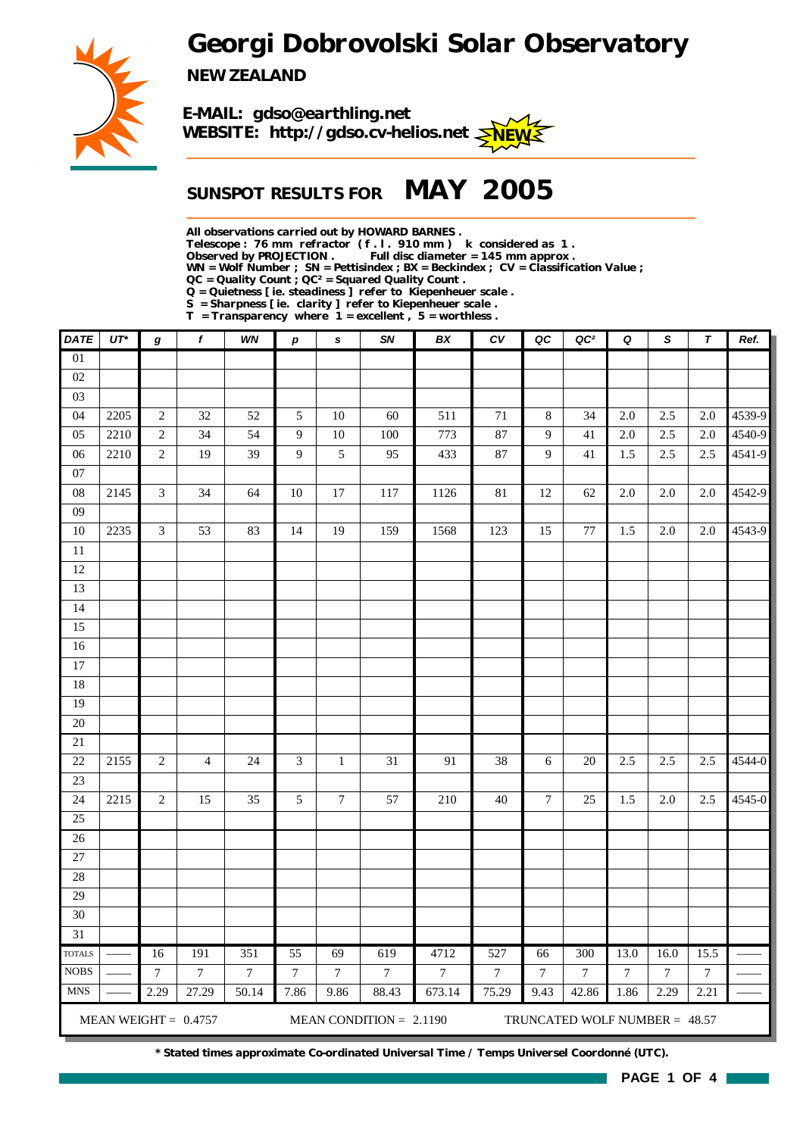*Georgi Dobrovolski Solar Observatory*



*NEW ZEALAND*



## *SUNSPOT RESULTS FOR MAY 2005*

*All observations carried out by HOWARD BARNES .*

*Telescope : 76 mm refractor ( f . l . 910 mm ) k considered as 1 .*

Full disc diameter = 145 mm approx .

*WN = Wolf Number ; SN = Pettisindex ; BX = Beckindex ; CV = Classification Value ;*

*QC = Quality Count ; QC² = Squared Quality Count .*

*Q = Quietness [ ie. steadiness ] refer to Kiepenheuer scale .*

*S = Sharpness [ ie. clarity ] refer to Kiepenheuer scale . T = Transparency where 1 = excellent , 5 = worthless .*

| <b>DATE</b>                            | $UT^*$ | g               | $\pmb{f}$              | WN             | $\boldsymbol{p}$ | s                | SN                        | BX             | ${\cal C}{\cal V}$ | QC              | QC <sup>2</sup>                 | Q                | S       | $\boldsymbol{\tau}$ | Ref.   |
|----------------------------------------|--------|-----------------|------------------------|----------------|------------------|------------------|---------------------------|----------------|--------------------|-----------------|---------------------------------|------------------|---------|---------------------|--------|
| 01                                     |        |                 |                        |                |                  |                  |                           |                |                    |                 |                                 |                  |         |                     |        |
| 02                                     |        |                 |                        |                |                  |                  |                           |                |                    |                 |                                 |                  |         |                     |        |
| 03                                     |        |                 |                        |                |                  |                  |                           |                |                    |                 |                                 |                  |         |                     |        |
| 04                                     | 2205   | $\sqrt{2}$      | 32                     | 52             | $\sqrt{5}$       | 10               | 60                        | 511            | 71                 | 8               | 34                              | 2.0              | 2.5     | $2.0\,$             | 4539-9 |
| 05                                     | 2210   | $\sqrt{2}$      | 34                     | 54             | $\overline{9}$   | 10               | 100                       | 773            | 87                 | 9               | 41                              | 2.0              | 2.5     | $2.0\,$             | 4540-9 |
| 06                                     | 2210   | $\sqrt{2}$      | 19                     | 39             | 9                | 5                | 95                        | 433            | 87                 | 9               | 41                              | 1.5              | 2.5     | 2.5                 | 4541-9 |
| $07\,$                                 |        |                 |                        |                |                  |                  |                           |                |                    |                 |                                 |                  |         |                     |        |
| ${\bf 08}$                             | 2145   | $\mathfrak{Z}$  | 34                     | 64             | 10               | 17               | 117                       | 1126           | $81\,$             | 12              | 62                              | 2.0              | $2.0\,$ | $2.0\,$             | 4542-9 |
| 09                                     |        |                 |                        |                |                  |                  |                           |                |                    |                 |                                 |                  |         |                     |        |
| $10\,$                                 | 2235   | 3               | 53                     | 83             | 14               | 19               | 159                       | 1568           | 123                | 15              | 77                              | 1.5              | $2.0\,$ | 2.0                 | 4543-9 |
| $11\,$                                 |        |                 |                        |                |                  |                  |                           |                |                    |                 |                                 |                  |         |                     |        |
| 12                                     |        |                 |                        |                |                  |                  |                           |                |                    |                 |                                 |                  |         |                     |        |
| 13                                     |        |                 |                        |                |                  |                  |                           |                |                    |                 |                                 |                  |         |                     |        |
| 14                                     |        |                 |                        |                |                  |                  |                           |                |                    |                 |                                 |                  |         |                     |        |
| 15                                     |        |                 |                        |                |                  |                  |                           |                |                    |                 |                                 |                  |         |                     |        |
| 16                                     |        |                 |                        |                |                  |                  |                           |                |                    |                 |                                 |                  |         |                     |        |
| $17\,$                                 |        |                 |                        |                |                  |                  |                           |                |                    |                 |                                 |                  |         |                     |        |
| 18                                     |        |                 |                        |                |                  |                  |                           |                |                    |                 |                                 |                  |         |                     |        |
| 19                                     |        |                 |                        |                |                  |                  |                           |                |                    |                 |                                 |                  |         |                     |        |
| 20                                     |        |                 |                        |                |                  |                  |                           |                |                    |                 |                                 |                  |         |                     |        |
| $21\,$                                 |        |                 |                        |                |                  |                  |                           |                |                    |                 |                                 |                  |         |                     |        |
| 22                                     | 2155   | $\sqrt{2}$      | $\overline{4}$         | $24\,$         | $\mathfrak{Z}$   | $\mathbf{1}$     | 31                        | 91             | 38                 | 6               | $20\,$                          | 2.5              | 2.5     | 2.5                 | 4544-0 |
| $23\,$                                 |        |                 |                        |                |                  |                  |                           |                |                    |                 |                                 |                  |         |                     |        |
| 24                                     | 2215   | $\sqrt{2}$      | 15                     | 35             | 5                | $\boldsymbol{7}$ | 57                        | 210            | $40\,$             | $\overline{7}$  | 25                              | 1.5              | $2.0\,$ | $2.5\,$             | 4545-0 |
| 25                                     |        |                 |                        |                |                  |                  |                           |                |                    |                 |                                 |                  |         |                     |        |
| $26\,$                                 |        |                 |                        |                |                  |                  |                           |                |                    |                 |                                 |                  |         |                     |        |
| 27                                     |        |                 |                        |                |                  |                  |                           |                |                    |                 |                                 |                  |         |                     |        |
| 28                                     |        |                 |                        |                |                  |                  |                           |                |                    |                 |                                 |                  |         |                     |        |
| 29                                     |        |                 |                        |                |                  |                  |                           |                |                    |                 |                                 |                  |         |                     |        |
| 30                                     |        |                 |                        |                |                  |                  |                           |                |                    |                 |                                 |                  |         |                     |        |
| 31                                     |        |                 |                        |                |                  |                  |                           |                |                    |                 |                                 |                  |         |                     |        |
| $\operatorname{TOTALS}$<br><b>NOBS</b> |        | 16              | 191                    | 351            | 55               | 69               | 619                       | 4712           | 527                | 66              | 300                             | 13.0             | 16.0    | 15.5                |        |
|                                        |        | $7\phantom{.0}$ | $\tau$                 | $\overline{7}$ | $7\phantom{.0}$  | $\tau$           | $\overline{7}$            | $\overline{7}$ | $\overline{7}$     | $7\phantom{.0}$ | $\overline{7}$                  | $\boldsymbol{7}$ | $\tau$  | $\overline{7}$      |        |
| <b>MNS</b>                             |        | 2.29            | 27.29                  | 50.14          | 7.86             | 9.86             | 88.43                     | 673.14         | 75.29              | 9.43            | 42.86                           | 1.86             | 2.29    | 2.21                |        |
|                                        |        |                 | MEAN WEIGHT = $0.4757$ |                |                  |                  | MEAN CONDITION = $2.1190$ |                |                    |                 | TRUNCATED WOLF NUMBER = $48.57$ |                  |         |                     |        |

*\* Stated times approximate Co-ordinated Universal Time / Temps Universel Coordonné (UTC).*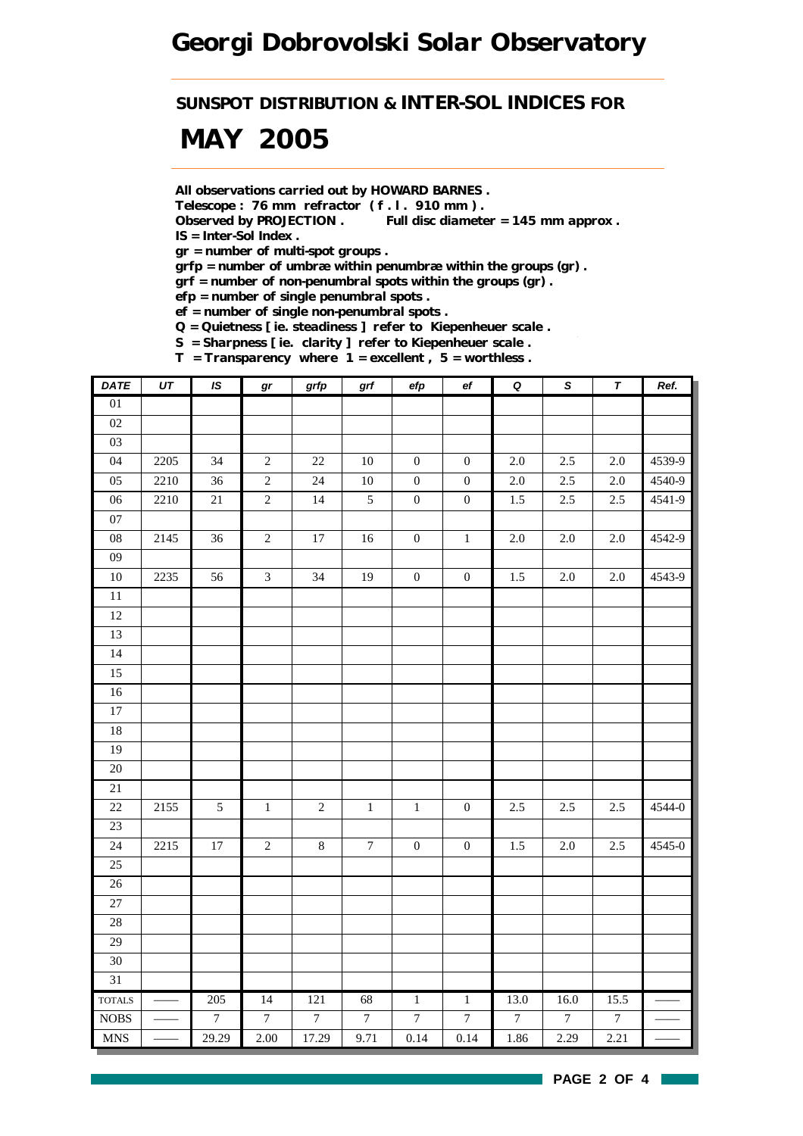*SUNSPOT DISTRIBUTION & INTER-SOL INDICES FOR*

# *MAY 2005*

*All observations carried out by HOWARD BARNES .*

*Telescope : 76 mm refractor ( f . l . 910 mm ) .*

*Observed by PROJECTION . Full disc diameter = 145 mm approx . IS = Inter-Sol Index .*

*gr = number of multi-spot groups .*

*grfp = number of umbræ within penumbræ within the groups (gr) .*

*grf = number of non-penumbral spots within the groups (gr) .*

*efp = number of single penumbral spots .*

*ef = number of single non-penumbral spots .*

*Q = Quietness [ ie. steadiness ] refer to Kiepenheuer scale .*

*S = Sharpness [ ie. clarity ] refer to Kiepenheuer scale .*

*T = Transparency where 1 = excellent , 5 = worthless .*

| <b>DATE</b>                 | $\overline{UT}$ | IS               | gr               | grfp           | grf              | efp              | $\mathsf{e} \mathsf{f}$ | $\pmb Q$         | $\overline{s}$ | $\overline{\tau}$ | Ref.   |
|-----------------------------|-----------------|------------------|------------------|----------------|------------------|------------------|-------------------------|------------------|----------------|-------------------|--------|
| 01                          |                 |                  |                  |                |                  |                  |                         |                  |                |                   |        |
| $02\,$                      |                 |                  |                  |                |                  |                  |                         |                  |                |                   |        |
| 03                          |                 |                  |                  |                |                  |                  |                         |                  |                |                   |        |
| 04                          | 2205            | 34               | $\sqrt{2}$       | $22\,$         | $10\,$           | $\boldsymbol{0}$ | $\boldsymbol{0}$        | $2.0\,$          | 2.5            | 2.0               | 4539-9 |
| 05                          | 2210            | 36               | $\overline{c}$   | 24             | $10\,$           | $\boldsymbol{0}$ | $\boldsymbol{0}$        | $2.0\,$          | 2.5            | $2.0\,$           | 4540-9 |
| 06                          | 2210            | 21               | $\overline{c}$   | $14$           | $\mathfrak{S}$   | $\boldsymbol{0}$ | $\boldsymbol{0}$        | $1.5\,$          | 2.5            | 2.5               | 4541-9 |
| $07\,$                      |                 |                  |                  |                |                  |                  |                         |                  |                |                   |        |
| ${\bf 08}$                  | 2145            | 36               | $\sqrt{2}$       | $17\,$         | 16               | $\boldsymbol{0}$ | $\mathbf 1$             | $2.0\,$          | $2.0\,$        | $2.0\,$           | 4542-9 |
| $09\,$                      |                 |                  |                  |                |                  |                  |                         |                  |                |                   |        |
| $10\,$                      | 2235            | 56               | $\mathfrak{Z}$   | 34             | 19               | $\boldsymbol{0}$ | $\boldsymbol{0}$        | 1.5              | $2.0\,$        | $2.0\,$           | 4543-9 |
| $\overline{11}$             |                 |                  |                  |                |                  |                  |                         |                  |                |                   |        |
| $12\,$                      |                 |                  |                  |                |                  |                  |                         |                  |                |                   |        |
| 13                          |                 |                  |                  |                |                  |                  |                         |                  |                |                   |        |
| 14                          |                 |                  |                  |                |                  |                  |                         |                  |                |                   |        |
| 15                          |                 |                  |                  |                |                  |                  |                         |                  |                |                   |        |
| $16\,$                      |                 |                  |                  |                |                  |                  |                         |                  |                |                   |        |
| $17\,$                      |                 |                  |                  |                |                  |                  |                         |                  |                |                   |        |
| $18\,$                      |                 |                  |                  |                |                  |                  |                         |                  |                |                   |        |
| 19                          |                 |                  |                  |                |                  |                  |                         |                  |                |                   |        |
| 20                          |                 |                  |                  |                |                  |                  |                         |                  |                |                   |        |
| 21                          |                 |                  |                  |                |                  |                  |                         |                  |                |                   |        |
| 22                          | 2155            | 5                | $\,1\,$          | $\sqrt{2}$     | $\,1\,$          | $\,1$            | $\boldsymbol{0}$        | $2.5\,$          | 2.5            | 2.5               | 4544-0 |
| $\overline{23}$             |                 |                  |                  |                |                  |                  |                         |                  |                |                   |        |
| 24                          | 2215            | $17\,$           | $\sqrt{2}$       | $8\,$          | $\boldsymbol{7}$ | $\boldsymbol{0}$ | $\boldsymbol{0}$        | 1.5              | $2.0\,$        | 2.5               | 4545-0 |
| 25                          |                 |                  |                  |                |                  |                  |                         |                  |                |                   |        |
| $\overline{26}$             |                 |                  |                  |                |                  |                  |                         |                  |                |                   |        |
| 27                          |                 |                  |                  |                |                  |                  |                         |                  |                |                   |        |
| $28\,$                      |                 |                  |                  |                |                  |                  |                         |                  |                |                   |        |
| $\overline{29}$             |                 |                  |                  |                |                  |                  |                         |                  |                |                   |        |
| 30                          |                 |                  |                  |                |                  |                  |                         |                  |                |                   |        |
| $\overline{31}$             |                 |                  |                  |                |                  |                  |                         |                  |                |                   |        |
| <b>TOTALS</b>               |                 | 205              | 14               | 121            | 68               | $\overline{1}$   | $\overline{1}$          | 13.0             | 16.0           | 15.5              |        |
| $\rm{NOBS}$                 |                 | $\boldsymbol{7}$ | $\boldsymbol{7}$ | $\overline{7}$ | $\boldsymbol{7}$ | $\boldsymbol{7}$ | $\boldsymbol{7}$        | $\boldsymbol{7}$ | $\overline{7}$ | $\boldsymbol{7}$  |        |
| $\ensuremath{\mathsf{MNS}}$ |                 | 29.29            | 2.00             | 17.29          | 9.71             | 0.14             | 0.14                    | 1.86             | 2.29           | 2.21              |        |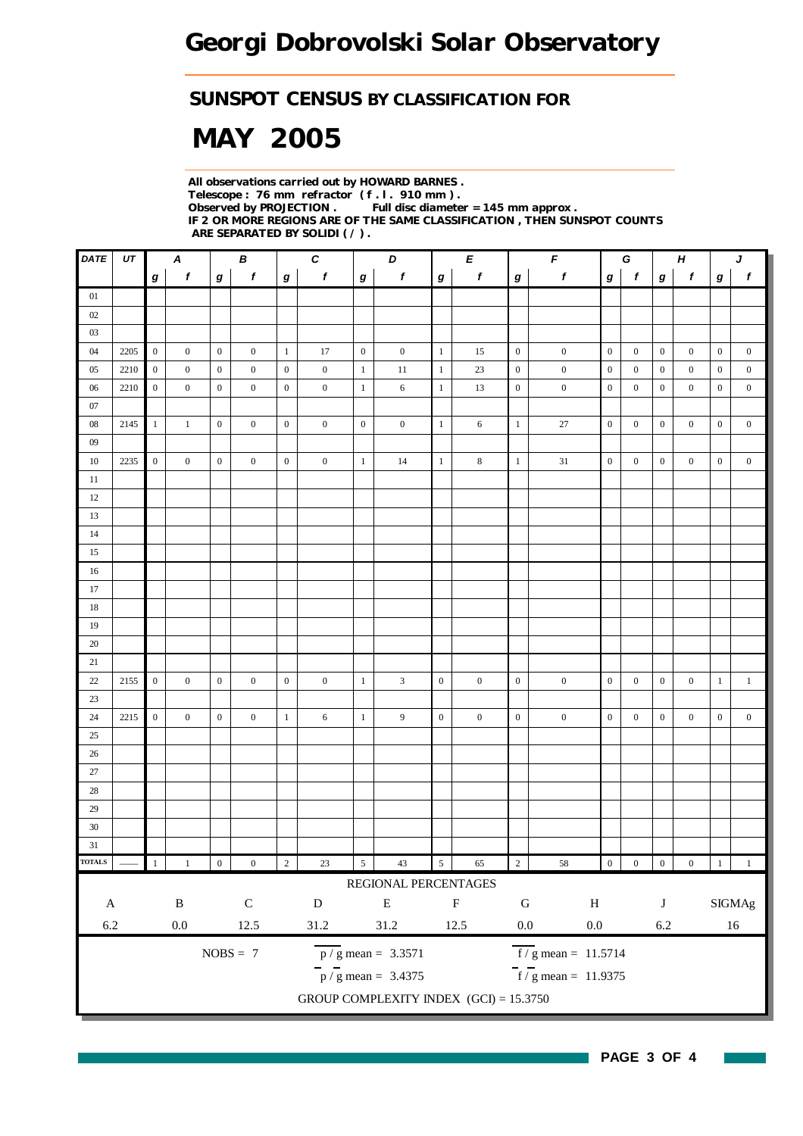### *SUNSPOT CENSUS BY CLASSIFICATION FOR*

# *MAY 2005*

*All observations carried out by HOWARD BARNES . Telescope : 76 mm refractor ( f . l . 910 mm ) . Full disc diameter = 145 mm approx . IF 2 OR MORE REGIONS ARE OF THE SAME CLASSIFICATION , THEN SUNSPOT COUNTS ARE SEPARATED BY SOLIDI ( / ) .*

| <b>DATE</b>   | UT   |                  | $\boldsymbol{A}$ |                  | В                |                  | $\pmb{C}$        |                  | D                                        |                  | E                |                  |                                    | F<br>G<br>$\pmb H$ |                  |                  |                  | $\pmb{J}$        |                  |
|---------------|------|------------------|------------------|------------------|------------------|------------------|------------------|------------------|------------------------------------------|------------------|------------------|------------------|------------------------------------|--------------------|------------------|------------------|------------------|------------------|------------------|
|               |      | $\bm{g}$         | $\boldsymbol{f}$ | $\boldsymbol{g}$ | $\pmb{f}$        | $\boldsymbol{g}$ | $\mathbf{f}$     | $\boldsymbol{g}$ | $\pmb{f}$                                | $\boldsymbol{g}$ | f                | g                | $\pmb{f}$                          | $\bm{g}$           | $\boldsymbol{f}$ | $\bm{g}$         | f                | g                | $\boldsymbol{f}$ |
| 01            |      |                  |                  |                  |                  |                  |                  |                  |                                          |                  |                  |                  |                                    |                    |                  |                  |                  |                  |                  |
| 02            |      |                  |                  |                  |                  |                  |                  |                  |                                          |                  |                  |                  |                                    |                    |                  |                  |                  |                  |                  |
| 03            |      |                  |                  |                  |                  |                  |                  |                  |                                          |                  |                  |                  |                                    |                    |                  |                  |                  |                  |                  |
| 04            | 2205 | $\overline{0}$   | $\boldsymbol{0}$ | $\mathbf{0}$     | $\boldsymbol{0}$ | $\mathbf{1}$     | 17               | $\overline{0}$   | $\boldsymbol{0}$                         | $\mathbf{1}$     | 15               | $\mathbf{0}$     | $\boldsymbol{0}$                   | $\mathbf{0}$       | $\boldsymbol{0}$ | $\boldsymbol{0}$ | $\boldsymbol{0}$ | $\boldsymbol{0}$ | $\boldsymbol{0}$ |
| 05            | 2210 | $\boldsymbol{0}$ | $\boldsymbol{0}$ | $\boldsymbol{0}$ | $\overline{0}$   | $\boldsymbol{0}$ | $\boldsymbol{0}$ | $\mathbf{1}$     | $11\,$                                   | $\mathbf{1}$     | 23               | $\mathbf{0}$     | $\boldsymbol{0}$                   | $\boldsymbol{0}$   | $\boldsymbol{0}$ | $\boldsymbol{0}$ | $\boldsymbol{0}$ | $\mathbf{0}$     | $\boldsymbol{0}$ |
| 06            | 2210 | $\boldsymbol{0}$ | $\overline{0}$   | $\mathbf{0}$     | $\mathbf{0}$     | $\boldsymbol{0}$ | $\boldsymbol{0}$ | $\mathbf{1}$     | 6                                        | $\mathbf{1}$     | 13               | $\boldsymbol{0}$ | $\boldsymbol{0}$                   | $\boldsymbol{0}$   | $\boldsymbol{0}$ | $\mathbf{0}$     | $\mathbf{0}$     | $\mathbf{0}$     | $\boldsymbol{0}$ |
| 07            |      |                  |                  |                  |                  |                  |                  |                  |                                          |                  |                  |                  |                                    |                    |                  |                  |                  |                  |                  |
| $08\,$        | 2145 | $\mathbf{1}$     | $\mathbf{1}$     | $\mathbf{0}$     | $\boldsymbol{0}$ | $\boldsymbol{0}$ | $\boldsymbol{0}$ | $\boldsymbol{0}$ | $\boldsymbol{0}$                         | $\mathbf{1}$     | 6                | $\mathbf{1}$     | $27\,$                             | $\overline{0}$     | $\boldsymbol{0}$ | $\boldsymbol{0}$ | $\boldsymbol{0}$ | $\boldsymbol{0}$ | $\boldsymbol{0}$ |
| 09            |      |                  |                  |                  |                  |                  |                  |                  |                                          |                  |                  |                  |                                    |                    |                  |                  |                  |                  |                  |
| 10            | 2235 | $\mathbf{0}$     | $\overline{0}$   | $\overline{0}$   | $\overline{0}$   | $\mathbf{0}$     | $\boldsymbol{0}$ | $\mathbf{1}$     | 14                                       | $\mathbf{1}$     | 8                | $\mathbf{1}$     | 31                                 | $\boldsymbol{0}$   | $\mathbf{0}$     | $\mathbf{0}$     | $\mathbf{0}$     | $\mathbf{0}$     | $\boldsymbol{0}$ |
| 11            |      |                  |                  |                  |                  |                  |                  |                  |                                          |                  |                  |                  |                                    |                    |                  |                  |                  |                  |                  |
| 12            |      |                  |                  |                  |                  |                  |                  |                  |                                          |                  |                  |                  |                                    |                    |                  |                  |                  |                  |                  |
| 13            |      |                  |                  |                  |                  |                  |                  |                  |                                          |                  |                  |                  |                                    |                    |                  |                  |                  |                  |                  |
| 14            |      |                  |                  |                  |                  |                  |                  |                  |                                          |                  |                  |                  |                                    |                    |                  |                  |                  |                  |                  |
| 15            |      |                  |                  |                  |                  |                  |                  |                  |                                          |                  |                  |                  |                                    |                    |                  |                  |                  |                  |                  |
| 16            |      |                  |                  |                  |                  |                  |                  |                  |                                          |                  |                  |                  |                                    |                    |                  |                  |                  |                  |                  |
| 17            |      |                  |                  |                  |                  |                  |                  |                  |                                          |                  |                  |                  |                                    |                    |                  |                  |                  |                  |                  |
| 18            |      |                  |                  |                  |                  |                  |                  |                  |                                          |                  |                  |                  |                                    |                    |                  |                  |                  |                  |                  |
| 19            |      |                  |                  |                  |                  |                  |                  |                  |                                          |                  |                  |                  |                                    |                    |                  |                  |                  |                  |                  |
| 20            |      |                  |                  |                  |                  |                  |                  |                  |                                          |                  |                  |                  |                                    |                    |                  |                  |                  |                  |                  |
| 21            |      |                  |                  |                  |                  |                  |                  |                  |                                          |                  |                  |                  |                                    |                    |                  |                  |                  |                  |                  |
| $22\,$        | 2155 | $\overline{0}$   | $\mathbf{0}$     | $\boldsymbol{0}$ | $\overline{0}$   | $\mathbf{0}$     | $\boldsymbol{0}$ | $\mathbf{1}$     | 3                                        | $\mathbf{0}$     | $\mathbf{0}$     | $\boldsymbol{0}$ | $\boldsymbol{0}$                   | $\mathbf{0}$       | $\mathbf{0}$     | $\boldsymbol{0}$ | $\boldsymbol{0}$ | $\mathbf{1}$     | $\mathbf{1}$     |
| $23\,$        |      |                  |                  |                  |                  |                  |                  |                  |                                          |                  |                  |                  |                                    |                    |                  |                  |                  |                  |                  |
| 24            | 2215 | $\boldsymbol{0}$ | $\boldsymbol{0}$ | $\mathbf{0}$     | $\overline{0}$   | $\mathbf{1}$     | 6                | $\mathbf{1}$     | 9                                        | $\mathbf{0}$     | $\boldsymbol{0}$ | $\boldsymbol{0}$ | $\boldsymbol{0}$                   | $\boldsymbol{0}$   | $\boldsymbol{0}$ | $\mathbf{0}$     | $\boldsymbol{0}$ | $\mathbf{0}$     | $\boldsymbol{0}$ |
| 25            |      |                  |                  |                  |                  |                  |                  |                  |                                          |                  |                  |                  |                                    |                    |                  |                  |                  |                  |                  |
| 26            |      |                  |                  |                  |                  |                  |                  |                  |                                          |                  |                  |                  |                                    |                    |                  |                  |                  |                  |                  |
| $27\,$        |      |                  |                  |                  |                  |                  |                  |                  |                                          |                  |                  |                  |                                    |                    |                  |                  |                  |                  |                  |
| $28\,$        |      |                  |                  |                  |                  |                  |                  |                  |                                          |                  |                  |                  |                                    |                    |                  |                  |                  |                  |                  |
| 29            |      |                  |                  |                  |                  |                  |                  |                  |                                          |                  |                  |                  |                                    |                    |                  |                  |                  |                  |                  |
| $30\,$        |      |                  |                  |                  |                  |                  |                  |                  |                                          |                  |                  |                  |                                    |                    |                  |                  |                  |                  |                  |
| 31            |      |                  |                  |                  |                  |                  |                  |                  |                                          |                  |                  |                  |                                    |                    |                  |                  |                  |                  |                  |
| <b>TOTALS</b> |      | $\mathbf{1}$     | $\,1\,$          | $\boldsymbol{0}$ | $\boldsymbol{0}$ | $\sqrt{2}$       | 23               | $\sqrt{5}$       | $43\,$                                   | $\sqrt{5}$       | 65               | $\sqrt{2}$       | $58\,$                             | $\boldsymbol{0}$   | $\boldsymbol{0}$ | $\boldsymbol{0}$ | $\boldsymbol{0}$ | $1^{\circ}$      | $\!1$            |
|               |      |                  |                  |                  |                  |                  |                  |                  | REGIONAL PERCENTAGES                     |                  |                  |                  |                                    |                    |                  |                  |                  |                  |                  |
| $\mathbf A$   |      |                  | $\, {\bf B}$     |                  | ${\bf C}$        |                  | ${\bf D}$        |                  | ${\bf E}$                                |                  | $\mathbf F$      | ${\bf G}$        | $\, {\rm H}$                       |                    |                  | $\bf J$          |                  |                  | $\rm{SIGMAg}$    |
| $6.2\,$       |      |                  | $0.0\,$          |                  | 12.5             |                  | 31.2             |                  | $31.2\,$                                 |                  | 12.5             | $0.0\,$          | $0.0\,$                            |                    |                  | $6.2\,$          |                  |                  | $16\,$           |
|               |      |                  |                  |                  | $NOBS = 7$       |                  |                  |                  | $\overline{p}/g$ mean = 3.3571           |                  |                  |                  | $\frac{f}{g}$ mean = 11.5714       |                    |                  |                  |                  |                  |                  |
|               |      |                  |                  |                  |                  |                  |                  |                  | $\bar{p}$ / g mean = 3.4375              |                  |                  |                  | $\frac{1}{2}$ f / g mean = 11.9375 |                    |                  |                  |                  |                  |                  |
|               |      |                  |                  |                  |                  |                  |                  |                  | GROUP COMPLEXITY INDEX $(GCI) = 15.3750$ |                  |                  |                  |                                    |                    |                  |                  |                  |                  |                  |
|               |      |                  |                  |                  |                  |                  |                  |                  |                                          |                  |                  |                  |                                    |                    |                  |                  |                  |                  |                  |